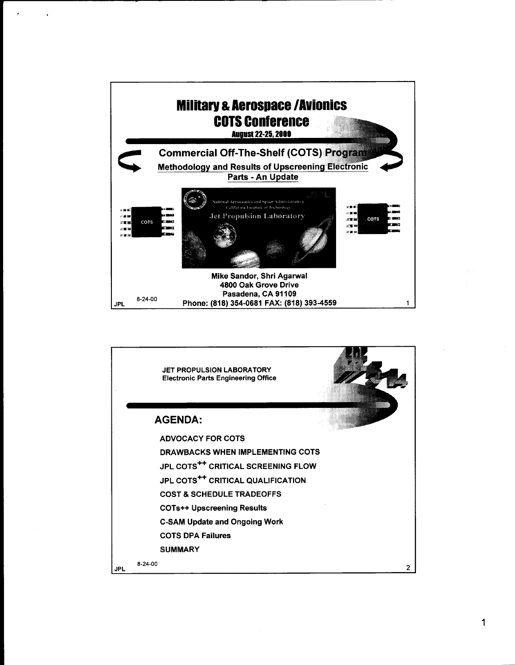

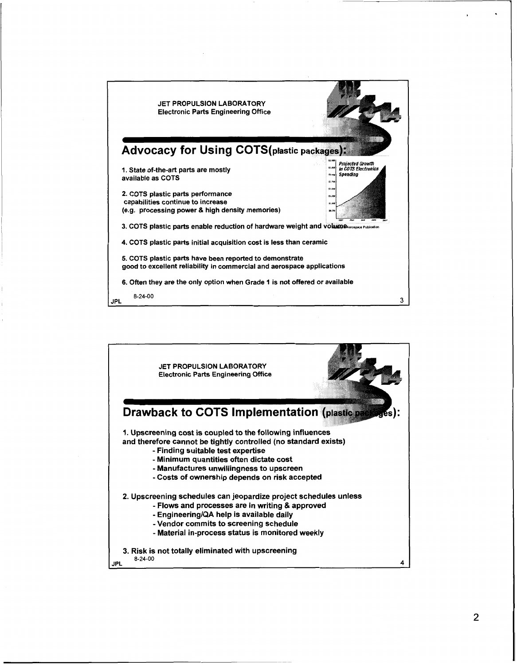

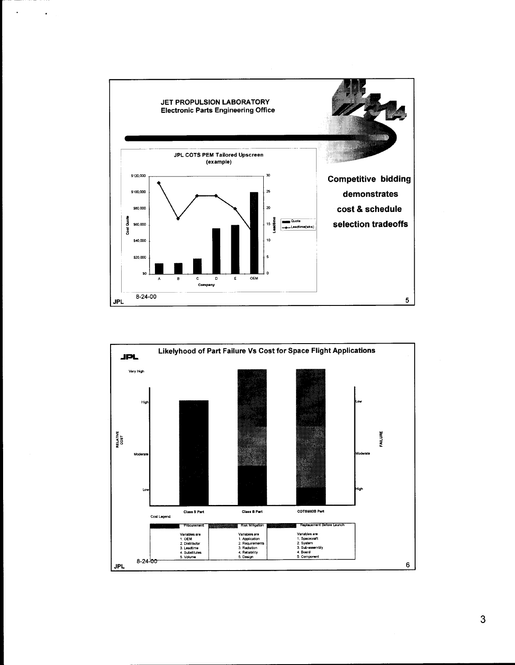

 $\hat{\phantom{a}}$ 

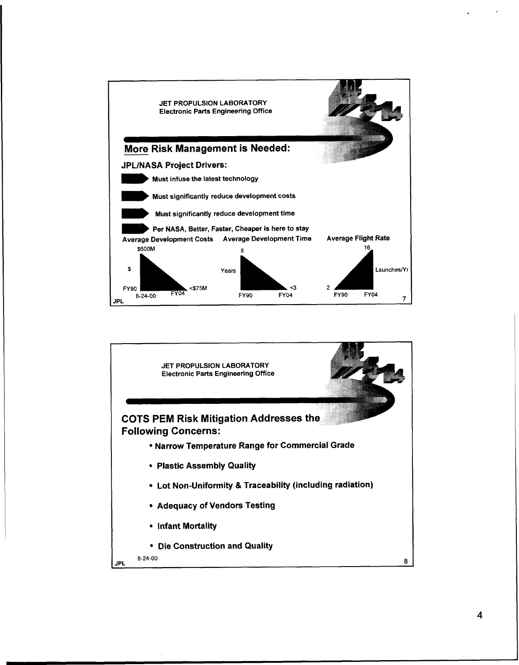

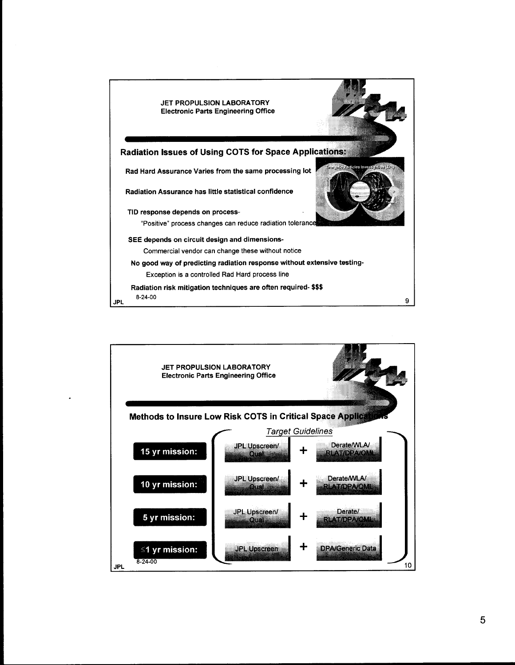

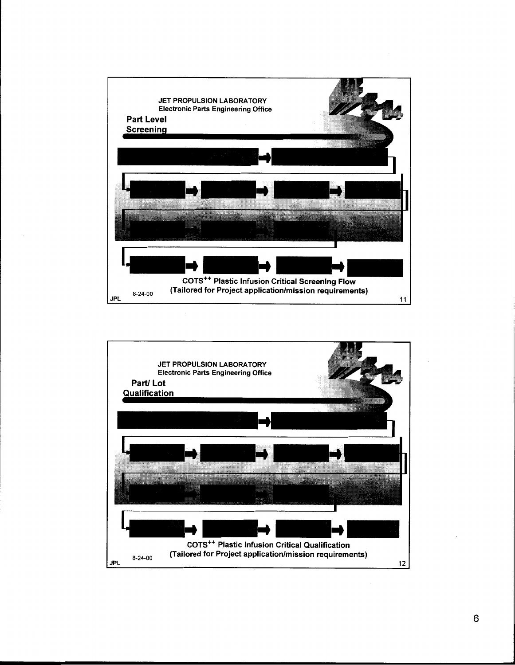

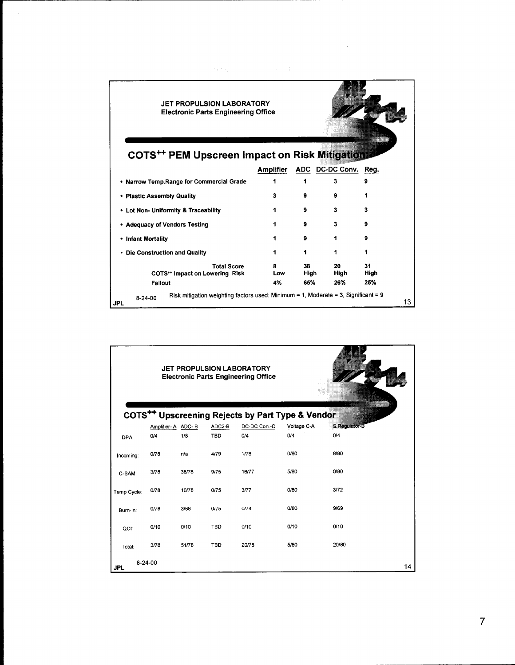|                                                                                                               | <b>JET PROPULSION LABORATORY</b><br><b>Electronic Parts Engineering Office</b> |                   |                          |                   |  |  |  |
|---------------------------------------------------------------------------------------------------------------|--------------------------------------------------------------------------------|-------------------|--------------------------|-------------------|--|--|--|
| <b>COTS** PEM Upscreen Impact on Risk Mitigation</b>                                                          |                                                                                |                   |                          |                   |  |  |  |
|                                                                                                               | <b>Amplifier</b>                                                               |                   | ADC DC-DC Conv. Reg.     |                   |  |  |  |
| • Narrow Temp.Range for Commercial Grade                                                                      | 1                                                                              |                   | 3                        | 9                 |  |  |  |
| • Plastic Assembly Quality                                                                                    | 3                                                                              | 9                 | 9                        |                   |  |  |  |
| • Lot Non- Uniformity & Traceability                                                                          | 1                                                                              | 9                 | 3                        | 3                 |  |  |  |
| • Adequacy of Vendors Testing                                                                                 |                                                                                | 9                 | 3                        | 9                 |  |  |  |
| • Infant Mortality                                                                                            |                                                                                | 9                 | 1                        | 9                 |  |  |  |
| • Die Construction and Quality                                                                                |                                                                                | 1                 | 1                        |                   |  |  |  |
| <b>Total Score</b><br>COTS** Impact on Lowering Risk<br>Fallout                                               | 8<br>Low<br>4%                                                                 | 38<br>High<br>65% | 20<br><b>High</b><br>26% | 31<br>High<br>25% |  |  |  |
| Risk mitigation weighting factors used: Minimum = 1, Moderate = 3, Significant = 9<br>$8-24-00$<br><b>JPL</b> |                                                                                |                   |                          | 13                |  |  |  |

| <b>JET PROPULSION LABORATORY</b><br><b>Electronic Parts Engineering Office</b>                     |         |       |                      |                     |                    |       |    |
|----------------------------------------------------------------------------------------------------|---------|-------|----------------------|---------------------|--------------------|-------|----|
| COTS <sup>++</sup> Upscreening Rejects by Part Type & Vendor<br>S.Regulator-B<br>Amplifier-A ADC-B |         |       |                      |                     |                    |       |    |
| DPA:                                                                                               | O/4     | 1/8   | ADC2-B<br><b>TBD</b> | DC-DC Con.-C<br>0/4 | Voltage C-A<br>O/4 | O/4   |    |
| Incoming:                                                                                          | 0/78    | n/a   | 4/79                 | 1/78                | 0/80               | 8/80  |    |
| C-SAM:                                                                                             | 3/78    | 38/78 | 9/75                 | 16/77               | 5/80               | 0/80  |    |
| Temp Cycle:                                                                                        | 0/78    | 10/78 | 0/75                 | 3/77                | 0/80               | 3/72  |    |
| Burn-In:                                                                                           | 0/78    | 3/68  | 0/75                 | 0/74                | 0/80               | 9/69  |    |
| QCI:                                                                                               | 0/10    | 0/10  | <b>TBD</b>           | 0/10                | 0/10               | 0/10  |    |
| Total:                                                                                             | 3/78    | 51/78 | <b>TBD</b>           | 20/78               | 5/80               | 20/80 |    |
| <b>JPL</b>                                                                                         | 8-24-00 |       |                      |                     |                    |       | 14 |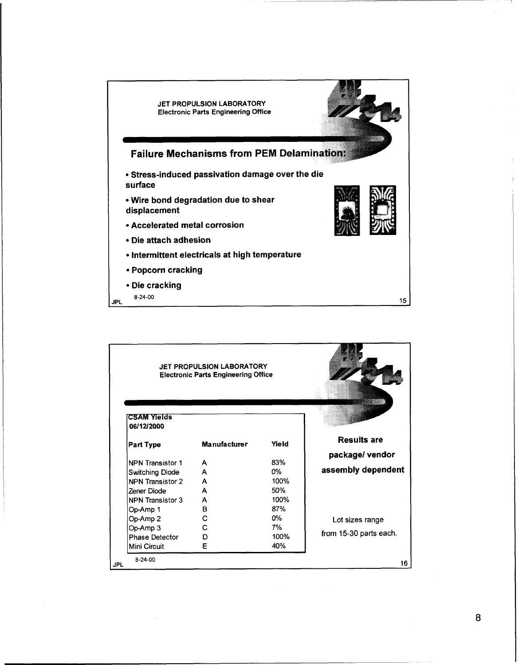

|     | JET PROPULSION LABORATORY<br><b>Electronic Parts Engineering Office</b> |                     |       |                        |
|-----|-------------------------------------------------------------------------|---------------------|-------|------------------------|
|     | <b>CSAM Yields</b><br>06/12/2000                                        |                     |       |                        |
|     | <b>Part Type</b>                                                        | <b>Manufacturer</b> | Yield | <b>Results are</b>     |
|     |                                                                         |                     |       | package/vendor         |
|     | NPN Transistor 1                                                        | A                   | 83%   |                        |
|     | <b>Switching Diode</b>                                                  | A                   | 0%    | assembly dependent     |
|     | NPN Transistor 2                                                        | A                   | 100%  |                        |
|     | Zener Diode                                                             | A                   | 50%   |                        |
|     | NPN Transistor 3                                                        | A                   | 100%  |                        |
|     | Op-Amp 1                                                                | В                   | 87%   |                        |
|     | Op-Amp 2                                                                | C                   | 0%    | Lot sizes range        |
|     | Op-Amp 3                                                                | С                   | 7%    |                        |
|     | <b>Phase Detector</b>                                                   | D                   | 100%  | from 15-30 parts each. |
|     | Mini Circuit                                                            | Е                   | 40%   |                        |
| JPL | $8-24-00$                                                               |                     |       | 16                     |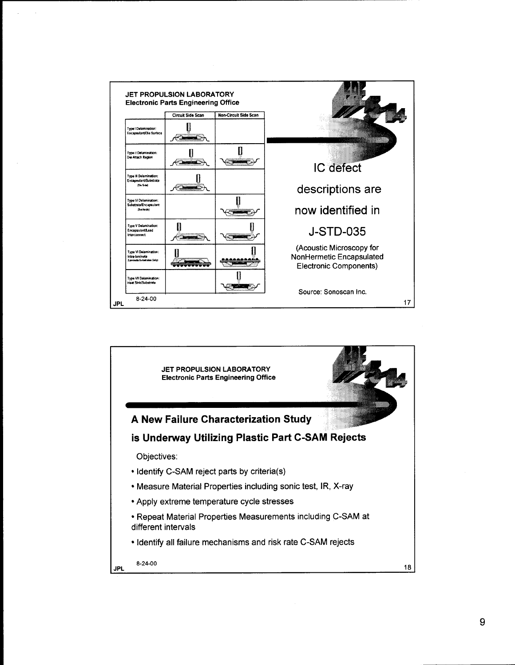

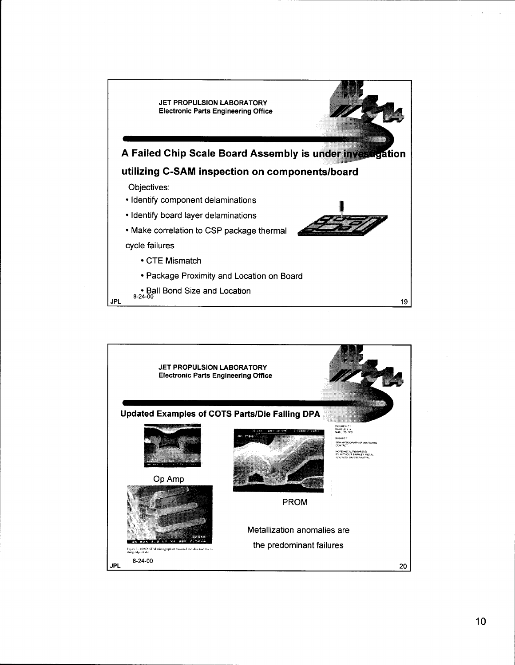